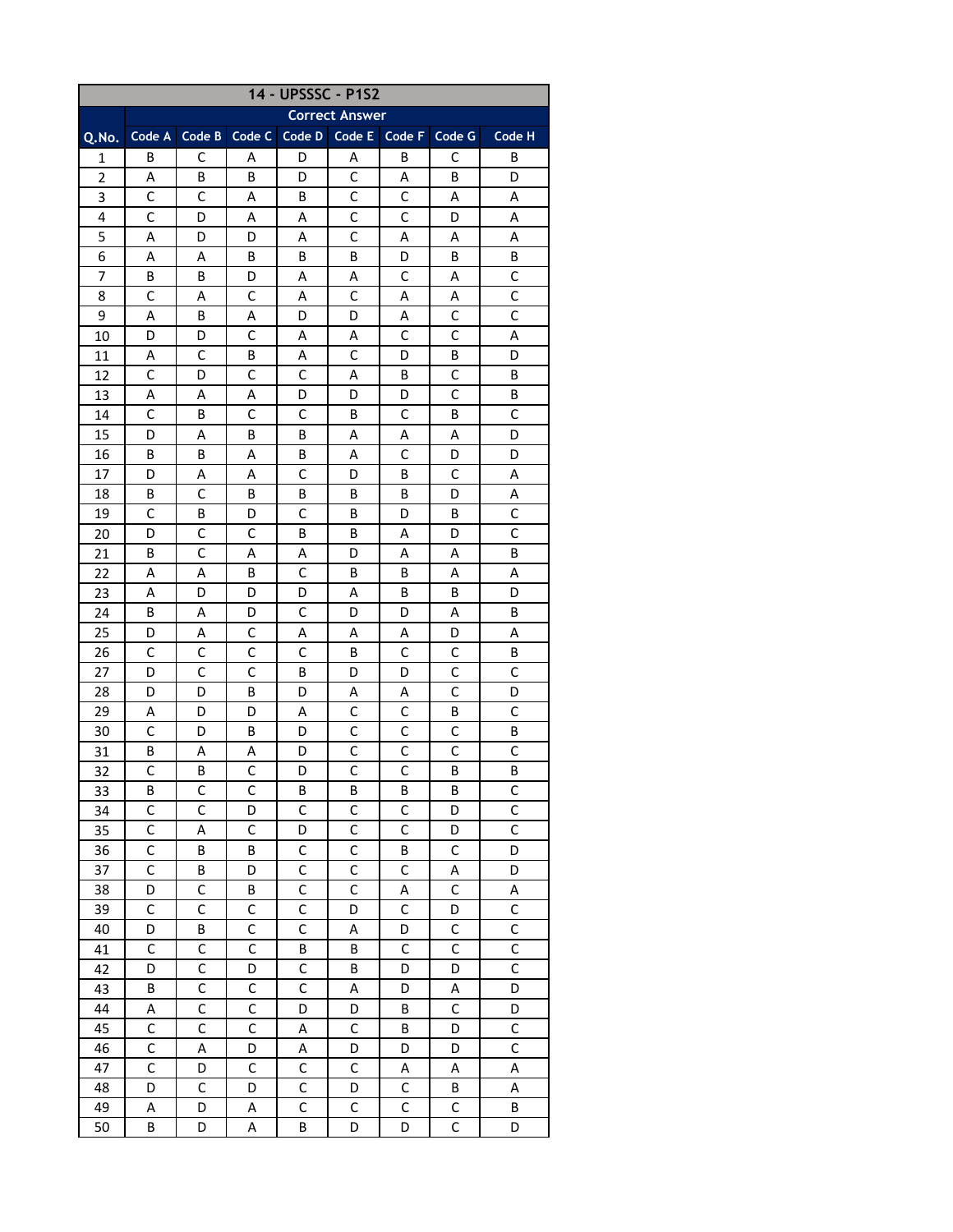| 14 - UPSSSC - P1S2 |                       |              |              |              |                         |                |              |                               |  |  |  |
|--------------------|-----------------------|--------------|--------------|--------------|-------------------------|----------------|--------------|-------------------------------|--|--|--|
|                    | <b>Correct Answer</b> |              |              |              |                         |                |              |                               |  |  |  |
| Q.No.              | Code A                | Code B       | Code C       | Code D       | Code E                  | Code F         | Code G       | Code H                        |  |  |  |
| 1                  | B                     | C            | A            | D            | A                       | B              | C            | в                             |  |  |  |
| $\overline{2}$     | А                     | B            | В            | D            | C                       | Α              | B            | D                             |  |  |  |
| 3                  | C                     | C            | A            | В            | C                       | C              | Α            | Α                             |  |  |  |
| 4                  | $\mathsf{C}$          | D            | Α            | Α            | C                       | $\mathsf{C}$   | D            | Α                             |  |  |  |
| 5                  | А                     | D            | D            | Α            | C                       | Α              | А            | Α                             |  |  |  |
| 6                  | Α                     | A            | B            | B            | В                       | D              | B            | В                             |  |  |  |
| 7                  | В                     | B            | D            | A            | Α                       | C              | A            | C                             |  |  |  |
| 8                  | $\mathsf{C}$          | А            | С            | A            | C                       | Α              | Α            | C                             |  |  |  |
| 9                  | A                     | B            | А            | D            | D                       | А              | C            | C                             |  |  |  |
| 10                 | D                     | D            | C            | Α            | Α                       | C              | C            | Α                             |  |  |  |
| 11                 | Α                     | C            | B            | Α            | С                       | D              | В            | D                             |  |  |  |
| 12                 | C                     | D            | C            | С            | A                       | B              | C            | B                             |  |  |  |
| 13                 | А                     | А            | Α            | D            | D                       | D              | C            | В                             |  |  |  |
| 14                 | C                     | B            | C            | C            | B                       | C              | B            | C                             |  |  |  |
| 15                 | D                     | А            | В            | B            | Α                       | Α              | Α            | D                             |  |  |  |
| 16                 | B                     | В            | А            | В            | Α                       | С              | D            | D                             |  |  |  |
| 17                 | D                     | А            | A            | С            | D                       | B              | C            | Α                             |  |  |  |
| 18                 | B                     | C            | B            | В            | B                       | В              | D            | Α                             |  |  |  |
| 19                 | C                     | В            | D            | C            | B                       | D              | B            | C                             |  |  |  |
| 20                 | D                     | C            | C            | B            | B                       | Α              | D            | C                             |  |  |  |
| 21                 | B                     | C            | А            | Α            | D                       | Α              | A            | В                             |  |  |  |
| 22                 | A                     | Α            | B            | C            | В                       | В              | A            | A                             |  |  |  |
| 23                 | Α                     | D            | D            | D            | Α                       | B              | B            | D                             |  |  |  |
| 24                 | В                     | Α            | D            | C            | D                       | D              | A            | B                             |  |  |  |
| 25                 | D                     | Α            | С            | Α            | Α                       | Α              | D            | Α                             |  |  |  |
| 26                 | C                     | C            | C            | C            | В                       | C              | C            | B                             |  |  |  |
| 27                 | D                     | C            | C            | В            | D                       | D              | C            | C                             |  |  |  |
| 28                 | D                     | D            | B            | D            | Α                       | Α              | $\mathsf{C}$ | D                             |  |  |  |
| 29                 | А                     | D            | D            | Α            | C                       | C              | B            | $\mathsf{C}$                  |  |  |  |
| 30                 | $\mathsf C$           | D            | B            | D            | $\mathsf{C}$            | $\mathsf{C}$   | $\mathsf{C}$ | В                             |  |  |  |
| 31                 | B                     | Α            | A            | D            | C                       | $\mathsf{C}$   | $\mathsf{C}$ | C                             |  |  |  |
| 32                 | $\mathsf C$           | B            | $\mathsf C$  | D            | $\mathsf{C}$            | $\mathsf{C}$   | B            | B                             |  |  |  |
| 33                 | B                     | C            | C            | B            | B                       | B              | B            | $\mathsf C$                   |  |  |  |
| 34                 | $\mathsf C$           | $\mathsf C$  | D            | $\mathsf C$  | $\mathsf C$             | C              | D            | $\mathsf{C}$                  |  |  |  |
| 35                 | $\overline{C}$        | A            | $\mathsf{C}$ | D            | $\overline{\mathsf{C}}$ | $\overline{C}$ | D            | $\overline{C}$                |  |  |  |
| 36                 | $\mathsf{C}$          | B            | B            | $\mathsf{C}$ | $\mathsf{C}$            | B              | $\mathsf C$  | D                             |  |  |  |
| 37                 | $\mathsf{C}$          | B            | D            | C            | $\mathsf{C}$            | $\mathsf C$    | A            | D                             |  |  |  |
| 38                 | D                     | C            | B            | C            | C                       | A              | C            | A                             |  |  |  |
| 39                 | $\mathsf C$           | $\mathsf C$  | C            | $\mathsf C$  | D                       | $\mathsf C$    | D            | $\mathsf C$                   |  |  |  |
| 40                 | D                     | B            | C            | $\mathsf{C}$ | A                       | D              | $\mathsf{C}$ | $\mathsf C$                   |  |  |  |
| 41                 | $\mathsf{C}$          | $\mathsf{C}$ | $\mathsf{C}$ | B            | B                       | $\mathsf{C}$   | $\mathsf{C}$ | $\overline{C}$                |  |  |  |
| 42                 | D                     | $\mathsf{C}$ | D            | $\mathsf C$  | B                       | D              | D            | $\overline{C}$                |  |  |  |
| 43                 | B                     | $\mathsf{C}$ | $\mathsf C$  | $\mathsf{C}$ | A                       | D              | A            | D                             |  |  |  |
| 44                 | A                     | $\mathsf C$  | $\mathsf C$  | D            | D                       | B              | $\mathsf C$  | D                             |  |  |  |
| 45                 | $\mathsf C$           | $\mathsf C$  | C            |              | $\mathsf C$             |                | D            |                               |  |  |  |
|                    | C                     |              |              | A            |                         | B              |              | $\mathsf C$<br>$\overline{C}$ |  |  |  |
| 46                 | $\overline{C}$        | A            | D            | А            | D                       | D              | D            |                               |  |  |  |
| 47                 |                       | D            | $\mathsf C$  | $\mathsf C$  | $\mathsf C$             | Α              | А            | А                             |  |  |  |
| 48                 | D                     | $\mathsf{C}$ | D            | $\mathsf C$  | D                       | $\mathsf C$    | B            | A                             |  |  |  |
| 49                 | Α                     | D            | Α            | $\mathsf{C}$ | C                       | $\mathsf C$    | C            | B                             |  |  |  |
| 50                 | B                     | D            | А            | B            | D                       | D              | C            | D                             |  |  |  |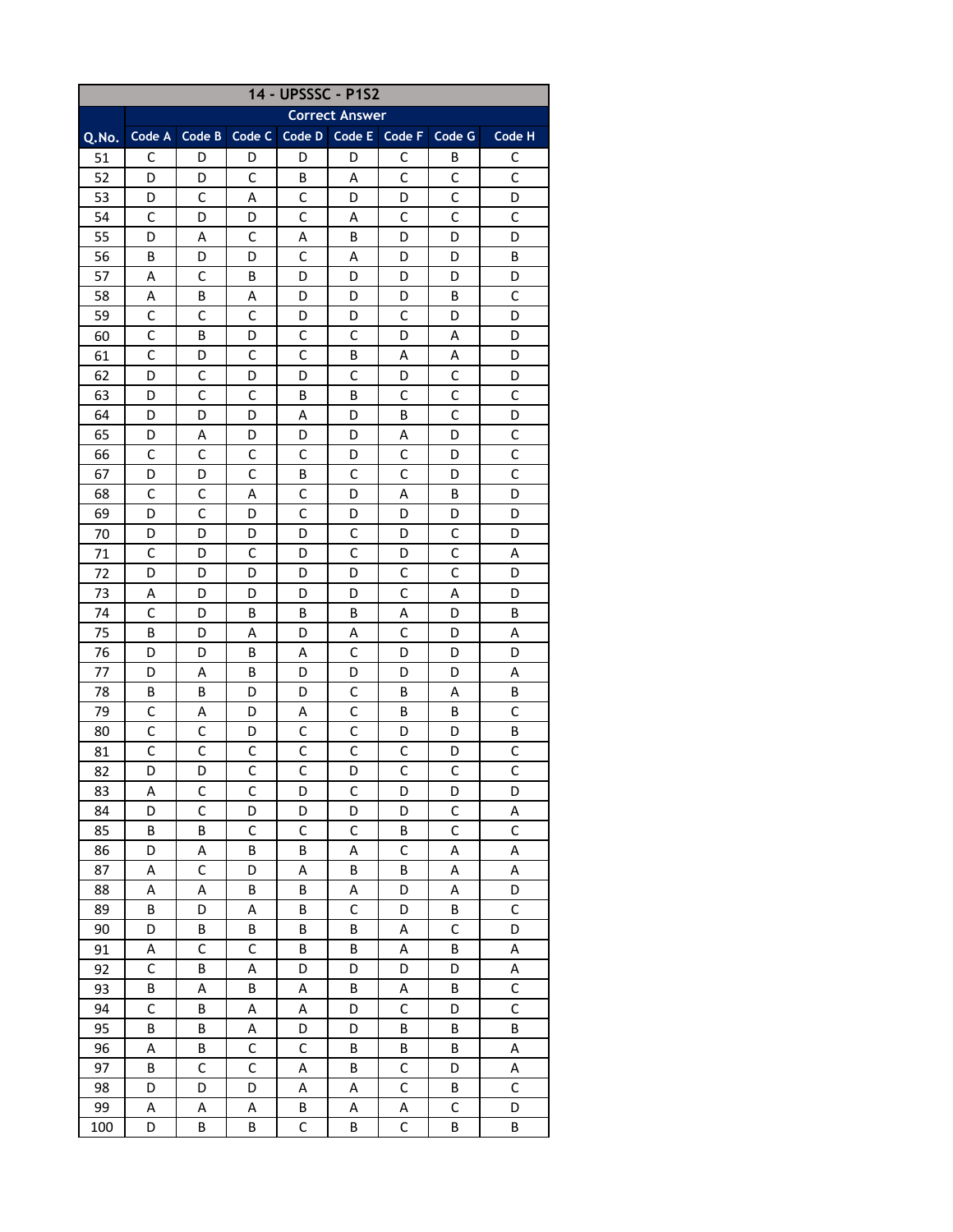| 14 - UPSSSC - P1S2 |                       |              |              |              |             |              |              |                |  |  |
|--------------------|-----------------------|--------------|--------------|--------------|-------------|--------------|--------------|----------------|--|--|
|                    | <b>Correct Answer</b> |              |              |              |             |              |              |                |  |  |
| Q.No.              | Code A                | Code B       | Code C       | Code D       | Code E      | Code F       | Code G       | Code H         |  |  |
| 51                 | C                     | D            | D            | D            | D           | C            | B            | С              |  |  |
| 52                 | D                     | D            | $\mathsf{C}$ | B            | A           | C            | C            | $\mathsf{C}$   |  |  |
| 53                 | D                     | C            | Α            | C            | D           | D            | C            | D              |  |  |
| 54                 | $\mathsf{C}$          | D            | D            | $\mathsf{C}$ | Α           | C            | $\mathsf{C}$ | $\mathsf{C}$   |  |  |
| 55                 | D                     | А            | С            | Α            | В           | D            | D            | D              |  |  |
| 56                 | B                     | D            | D            | С            | A           | D            | D            | В              |  |  |
| 57                 | Α                     | C            | B            | D            | D           | D            | D            | D              |  |  |
| 58                 | Α                     | B            | А            | D            | D           | D            | B            | C              |  |  |
| 59                 | C                     | C            | C            | D            | D           | C            | D            | D              |  |  |
| 60                 | C                     | В            | D            | С            | C           | D            | Α            | D              |  |  |
| 61                 | C                     | D            | С            | С            | B           | Α            | Α            | D              |  |  |
| 62                 | D                     | C            | D            | D            | C           | D            | C            | D              |  |  |
| 63                 | D                     | C            | C            | B            | В           | С            | C            | C              |  |  |
| 64                 | D                     | D            | D            | Α            | D           | B            | $\mathsf{C}$ | D              |  |  |
| 65                 | D                     | Α            | D            | D            | D           | Α            | D            | C              |  |  |
| 66                 | С                     | C            | C            | С            | D           | C            | D            | C              |  |  |
| 67                 | D                     | D            | C            | B            | C           | C            | D            | $\mathsf{C}$   |  |  |
| 68                 | C                     | C            | Α            | C            | D           | Α            | B            | D              |  |  |
| 69                 | D                     | C            | D            | C            | D           | D            | D            | D              |  |  |
| 70                 | D                     | D            | D            | D            | С           | D            | C            | D              |  |  |
| 71                 | C                     | D            | C            | D            | C           | D            | C            | Α              |  |  |
| 72                 | D                     | D            | D            | D            | D           | C            | $\mathsf{C}$ | D              |  |  |
| 73                 | Α                     | D            | D            | D            | D           | $\mathsf{C}$ | Α            | D              |  |  |
| 74                 | $\mathsf{C}$          | D            | B            | B            | B           | Α            | D            | B              |  |  |
| 75                 | B                     | D            | A            | D            | А           | C            | D            | Α              |  |  |
| 76                 | D                     | D            | B            | А            | C           | D            | D            | D              |  |  |
| 77                 | D                     | А            | B            | D            | D           | D            | D            | Α              |  |  |
| 78                 | B                     | B            | D            | D            | C           | B            | Α            | B              |  |  |
| 79                 | $\mathsf C$           | Α            | D            | А            | $\mathsf C$ | B            | B            | $\mathsf{C}$   |  |  |
| 80                 | $\mathsf C$           | $\mathsf C$  | D            | C            | C           | D            | D            | Β              |  |  |
| 81                 | $\mathsf{C}$          | $\mathsf{C}$ | C            | $\mathsf C$  | $\mathsf C$ | $\mathsf C$  | D            | $\mathsf C$    |  |  |
| 82                 | D                     | D            | $\mathsf C$  | $\mathsf C$  | D           | $\mathsf C$  | $\mathsf C$  | $\mathsf{C}$   |  |  |
| 83                 | А                     | C            | C            | D            | С           | D            | D            | D              |  |  |
| 84                 | D                     | $\mathsf C$  | D            | D            | D           | D            | $\mathsf C$  | Α              |  |  |
| 85                 | B                     | B            | $\mathsf C$  | $\mathsf C$  | $\mathsf C$ | B            | $\mathsf C$  | $\mathsf C$    |  |  |
| 86                 | D                     | Α            | B            | B            | A           | $\mathsf{C}$ | A            | А              |  |  |
| 87                 | А                     | $\mathsf C$  | D            | А            | B           | B            | Α            | A              |  |  |
| 88                 | А                     | Α            | B            | B            | Α           | D            | Α            | D              |  |  |
| 89                 | B                     | D            | A            | B            | C           | D            | B            | $\mathsf C$    |  |  |
| 90                 | D                     | B            | B            | B            | B           | А            | $\mathsf C$  | D              |  |  |
| 91                 | А                     | $\mathsf C$  | $\mathsf{C}$ | B            | B           | A            | B            | A              |  |  |
| 92                 | $\mathsf C$           | В            | A            | D            | D           | D            | D            | Α              |  |  |
| 93                 | B                     | А            | B            | A            | B           | A            | B            | $\mathsf C$    |  |  |
| 94                 | $\mathsf C$           | B            | A            | A            | D           | $\mathsf C$  | D            | $\overline{C}$ |  |  |
| 95                 | B                     | B            | A            | D            | D           | B            | B            | Β              |  |  |
| 96                 | А                     | B            | $\mathsf{C}$ | $\mathsf C$  | B           | B            | B            | А              |  |  |
| 97                 | B                     | $\mathsf C$  | $\mathsf C$  | А            | B           | $\mathsf C$  | D            | Α              |  |  |
| 98                 | D                     | D            | D            | Α            | A           | $\mathsf C$  | B            | $\mathsf C$    |  |  |
| 99                 | А                     | А            | Α            | B            | Α           | Α            | $\mathsf C$  | D              |  |  |
| 100                | D                     | В            | B            | С            | B           | $\mathsf C$  | B            | B              |  |  |